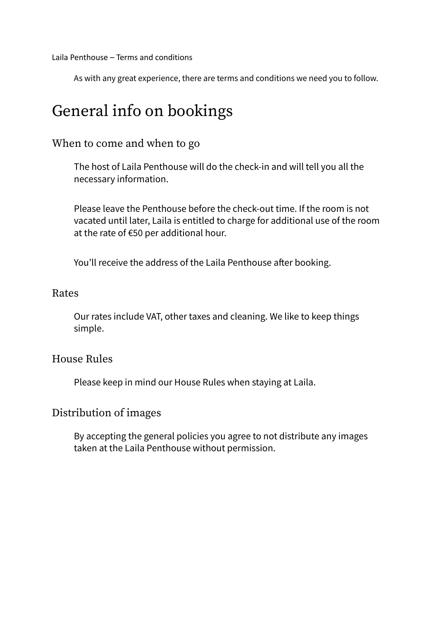Laila Penthouse – Terms and conditions

As with any great experience, there are terms and conditions we need you to follow.

### General info on bookings

#### When to come and when to go

The host of Laila Penthouse will do the check-in and will tell you all the necessary information.

Please leave the Penthouse before the check-out time. If the room is not vacated until later, Laila is entitled to charge for additional use of the room at the rate of €50 per additional hour.

You'll receive the address of the Laila Penthouse after booking.

#### Rates

Our rates include VAT, other taxes and cleaning. We like to keep things simple.

#### House Rules

Please keep in mind our House Rules when staying at Laila.

#### Distribution of images

By accepting the general policies you agree to not distribute any images taken at the Laila Penthouse without permission.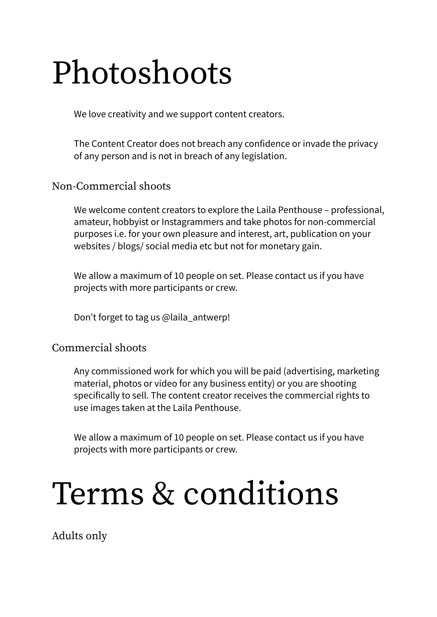## Photoshoots

We love creativity and we support content creators.

The Content Creator does not breach any confidence or invade the privacy of any person and is not in breach of any legislation.

#### Non-Commercial shoots

We welcome content creators to explore the Laila Penthouse – professional, amateur, hobbyist or Instagrammers and take photos for non-commercial purposes i.e. for your own pleasure and interest, art, publication on your websites / blogs/ social media etc but not for monetary gain.

We allow a maximum of 10 people on set. Please contact us if you have projects with more participants or crew.

Don't forget to tag us @laila\_antwerp!

#### Commercial shoots

Any commissioned work for which you will be paid (advertising, marketing material, photos or video for any business entity) or you are shooting specifically to sell. The content creator receives the commercial rights to use images taken at the Laila Penthouse.

We allow a maximum of 10 people on set. Please contact us if you have projects with more participants or crew.

### Terms & conditions

Adults only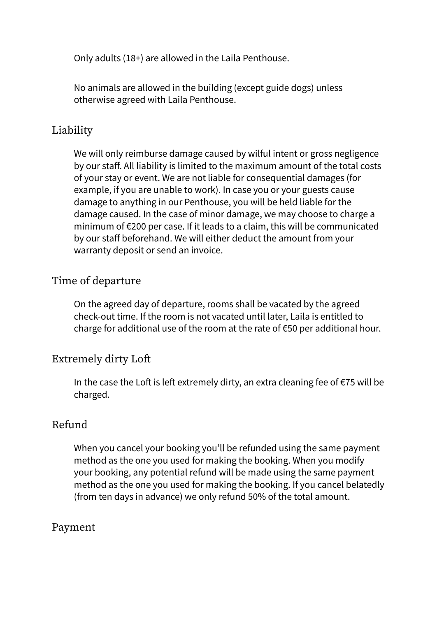Only adults (18+) are allowed in the Laila Penthouse.

No animals are allowed in the building (except guide dogs) unless otherwise agreed with Laila Penthouse.

#### Liability

We will only reimburse damage caused by wilful intent or gross negligence by our staff. All liability is limited to the maximum amount of the total costs of your stay or event. We are not liable for consequential damages (for example, if you are unable to work). In case you or your guests cause damage to anything in our Penthouse, you will be held liable for the damage caused. In the case of minor damage, we may choose to charge a minimum of €200 per case. If it leads to a claim, this will be communicated by our staff beforehand. We will either deduct the amount from your warranty deposit or send an invoice.

#### Time of departure

On the agreed day of departure, rooms shall be vacated by the agreed check-out time. If the room is not vacated until later, Laila is entitled to charge for additional use of the room at the rate of €50 per additional hour.

#### Extremely dirty Loft

In the case the Loft is left extremely dirty, an extra cleaning fee of €75 will be charged.

#### Refund

When you cancel your booking you'll be refunded using the same payment method as the one you used for making the booking. When you modify your booking, any potential refund will be made using the same payment method as the one you used for making the booking. If you cancel belatedly (from ten days in advance) we only refund 50% of the total amount.

#### Payment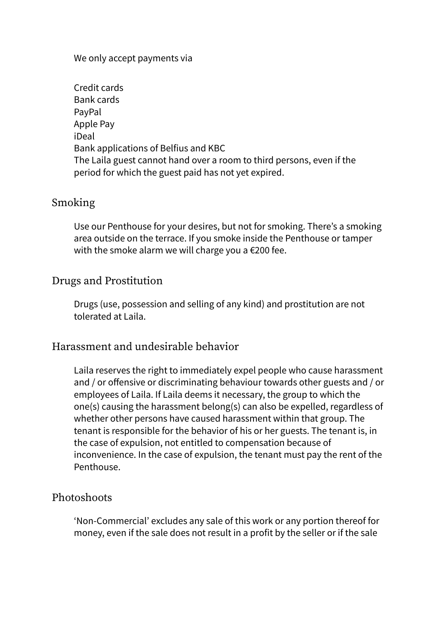#### We only accept payments via

| Credit cards                                                          |
|-----------------------------------------------------------------------|
| Bank cards                                                            |
| PayPal                                                                |
| Apple Pay                                                             |
| iDeal                                                                 |
| Bank applications of Belfius and KBC                                  |
| The Laila guest cannot hand over a room to third persons, even if the |
| period for which the guest paid has not yet expired.                  |

#### Smoking

Use our Penthouse for your desires, but not for smoking. There's a smoking area outside on the terrace. If you smoke inside the Penthouse or tamper with the smoke alarm we will charge you a €200 fee.

#### Drugs and Prostitution

Drugs (use, possession and selling of any kind) and prostitution are not tolerated at Laila.

#### Harassment and undesirable behavior

Laila reserves the right to immediately expel people who cause harassment and / or offensive or discriminating behaviour towards other guests and / or employees of Laila. If Laila deems it necessary, the group to which the one(s) causing the harassment belong(s) can also be expelled, regardless of whether other persons have caused harassment within that group. The tenant is responsible for the behavior of his or her guests. The tenant is, in the case of expulsion, not entitled to compensation because of inconvenience. In the case of expulsion, the tenant must pay the rent of the Penthouse.

#### Photoshoots

'Non-Commercial' excludes any sale of this work or any portion thereof for money, even if the sale does not result in a profit by the seller or if the sale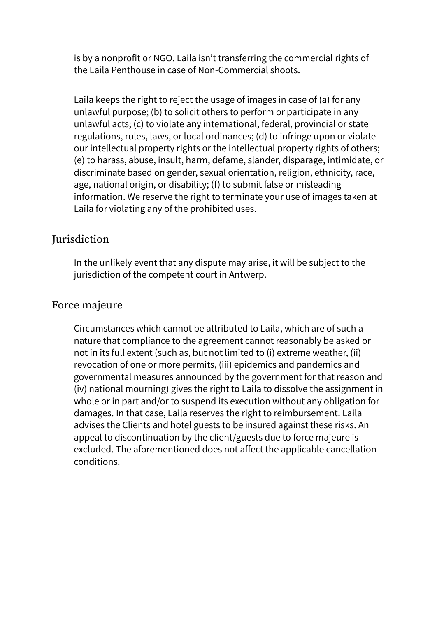is by a nonprofit or NGO. Laila isn't transferring the commercial rights of the Laila Penthouse in case of Non-Commercial shoots.

Laila keeps the right to reject the usage of images in case of (a) for any unlawful purpose; (b) to solicit others to perform or participate in any unlawful acts; (c) to violate any international, federal, provincial or state regulations, rules, laws, or local ordinances; (d) to infringe upon or violate our intellectual property rights or the intellectual property rights of others; (e) to harass, abuse, insult, harm, defame, slander, disparage, intimidate, or discriminate based on gender, sexual orientation, religion, ethnicity, race, age, national origin, or disability; (f) to submit false or misleading information. We reserve the right to terminate your use of images taken at Laila for violating any of the prohibited uses.

#### **Jurisdiction**

In the unlikely event that any dispute may arise, it will be subject to the jurisdiction of the competent court in Antwerp.

#### Force majeure

Circumstances which cannot be attributed to Laila, which are of such a nature that compliance to the agreement cannot reasonably be asked or not in its full extent (such as, but not limited to (i) extreme weather, (ii) revocation of one or more permits, (iii) epidemics and pandemics and governmental measures announced by the government for that reason and (iv) national mourning) gives the right to Laila to dissolve the assignment in whole or in part and/or to suspend its execution without any obligation for damages. In that case, Laila reserves the right to reimbursement. Laila advises the Clients and hotel guests to be insured against these risks. An appeal to discontinuation by the client/guests due to force majeure is excluded. The aforementioned does not affect the applicable cancellation conditions.